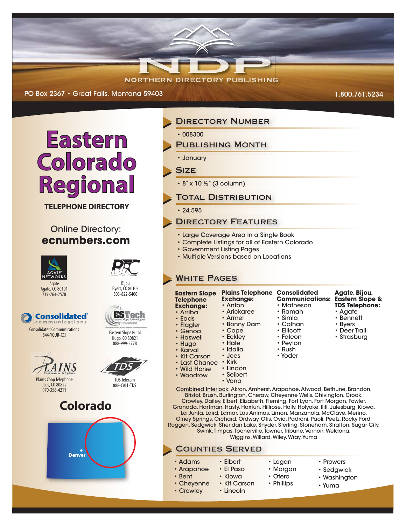# **NORTHERN DIRECTORY PUBLISHING**

PO Box 2367 • Great Falls, Montana 59403



**TELEPHONE DIRECTORY**

### **Online Directory: ecnumbers.com**



Agate, CO 80101 719-764-2578



844-YOUR-CCI



Plains Coop Telephone Joes, CO 80822 970-358-4211





## **DIRECTORY NUMBER**

- 008300
- PUBLISHING MONTH

• January

#### **SIZE**

- 8" x 10 ½" (3 column)
- **TOTAL DISTRIBUTION**

 $• 24.595$ 

#### Directory Features

- Large Coverage Area in a Single Book
- Complete Listings for all of Eastern Colorado
- Government Listing Pages
- Multiple Versions based on Locations

#### **WHITE PAGES**

| <b>Eastern Slope</b><br><b>Telephone</b><br><b>Exchange:</b><br>• Arriba<br>$\cdot$ Eads<br>• Flagler<br>$\cdot$ Genoa<br>• Haswell<br>• Hugo<br>• Karval<br>• Kit Carson<br>• Last Chance<br>• Wild Horse<br>• Woodrow                                                                                                                                                                            | <b>Plains Telephone Consolidated</b><br><b>Exchange:</b><br>• Anton<br>• Arickaree<br>• Armel<br>• Bonny Dam<br>$\cdot$ Cope<br>• Eckley<br>$\cdot$ Hale<br>• Idalia<br>• Joes<br>• Kirk<br>• Lindon<br>• Seibert<br>• Vona | <b>Communications:</b><br>• Matheson<br>• Ramah<br>• Simla<br>$\cdot$ Calhan<br>• Ellicott<br>• Falcon<br>• Peyton<br>• Rush<br>• Yoder | Agate, Bijou,<br><b>Eastern Slope &amp;</b><br><b>TDS Telephone:</b><br>• Agate<br>$\cdot$ Bennett<br>• Byers<br>$\cdot$ Deer Trail<br>• Strasburg |
|----------------------------------------------------------------------------------------------------------------------------------------------------------------------------------------------------------------------------------------------------------------------------------------------------------------------------------------------------------------------------------------------------|-----------------------------------------------------------------------------------------------------------------------------------------------------------------------------------------------------------------------------|-----------------------------------------------------------------------------------------------------------------------------------------|----------------------------------------------------------------------------------------------------------------------------------------------------|
| Combined Interlock: Akron, Amherst, Arapahoe, Atwood, Bethune, Brandon,<br>Bristol, Brush, Burlington, Cheraw, Cheyenne Wells, Chivington, Crook,<br>Crowley, Dailey, Elbert, Elizabeth, Fleming, Fort Lyon, Fort Morgan, Fowler,<br>Granada, Hartman, Hasty, Haxtun, Hillrose, Holly, Holyoke, Iliff, Julesburg, Kiowa,<br>La Junta, Laird, Lamar, Las Animas, Limon, Manzanola, McClave, Merino, |                                                                                                                                                                                                                             |                                                                                                                                         |                                                                                                                                                    |

La Junta, Laird, Lamar, Las Animas, Limon, Manzanola, McClave, Merino, Olney Springs, Orchard, Ordway, Otis, Ovid, Padroni, Paoli, Peetz, Rocky Ford, Roggen, Sedgwick, Sheridan Lake, Snyder, Sterling, Stoneham, Stratton, Sugar City, Swink, Timpas, Toonerville, Towner, Tribune, Vernon, Weldona, Wiggins, Willard, Wiley, Wray, Yuma

#### Counties Served

• Prowers • Sedgwick

1.800.761.5234

- Washington
- Yuma
- 
- 
- **ESTech**
- Eastern Slope Rural Hugo, CO 80821

Bijou Byers, CO 80103 303-822-5400

888-999-3778



TDSTelecom 888-CALL-TDS